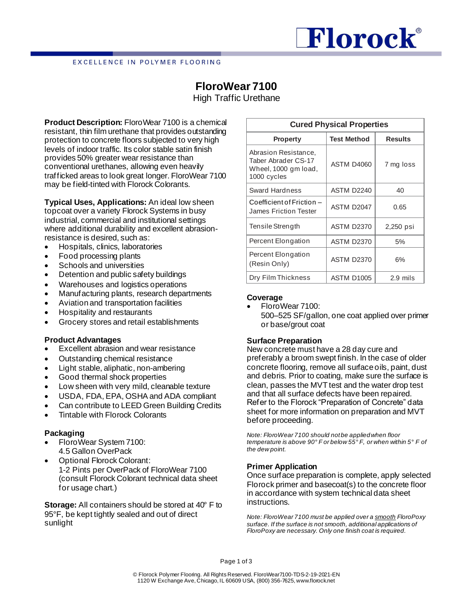# Florock®

#### EXCELLENCE IN POLYMER FLOORING

## **FloroWear 7100**

High Traffic Urethane

**Product Description:** FloroWear 7100 is a chemical resistant, thin film urethane that provides outstanding protection to concrete floors subjected to very high levels of indoor traffic. Its color stable satin finish provides 50% greater wear resistance than conventional urethanes, allowing even heavily trafficked areas to look great longer. FloroWear 7100 may be field-tinted with Florock Colorants.

**Typical Uses, Applications:** An ideal low sheen topcoat over a variety Florock Systems in busy industrial, commercial and institutional settings where additional durability and excellent abrasionresistance is desired, such as:

- Hospitals, clinics, laboratories
- Food processing plants
- Schools and universities
- Detention and public safety buildings
- Warehouses and logistics operations
- Manufacturing plants, research departments
- Aviation and transportation facilities
- Hospitality and restaurants
- Grocery stores and retail establishments

#### **Product Advantages**

- Excellent abrasion and wear resistance
- Outstanding chemical resistance
- Light stable, aliphatic, non-ambering
- Good thermal shock properties
- Low sheen with very mild, cleanable texture
- USDA, FDA, EPA, OSHA and ADA compliant
- Can contribute to LEED Green Building Credits
- Tintable with Florock Colorants

### **Packaging**

- FloroWear System 7100: 4.5 Gallon OverPack
- Optional Florock Colorant: 1-2 Pints per OverPack of FloroWear 7100 (consult Florock Colorant technical data sheet for usage chart.)

**Storage:** All containers should be stored at 40° F to 95°F, be kept tightly sealed and out of direct sunlight

| <b>Cured Physical Properties</b>                                                   |                    |                |  |  |  |
|------------------------------------------------------------------------------------|--------------------|----------------|--|--|--|
| <b>Property</b>                                                                    | <b>Test Method</b> | <b>Results</b> |  |  |  |
| Abrasion Resistance,<br>Taber Abrader CS-17<br>Wheel, 1000 gm load,<br>1000 cycles | <b>ASTM D4060</b>  | 7 mg loss      |  |  |  |
| Sward Hardness                                                                     | ASTM D2240         | 40             |  |  |  |
| Coefficient of Friction -<br>James Friction Tester                                 | ASTM D2047         | 0.65           |  |  |  |
| Tensile Strength                                                                   | <b>ASTM D2370</b>  | 2,250 psi      |  |  |  |
| Percent Elongation                                                                 | <b>ASTM D2370</b>  | 5%             |  |  |  |
| Percent Elongation<br>(Resin Only)                                                 | <b>ASTM D2370</b>  | 6%             |  |  |  |
| Dry Film Thickness                                                                 | <b>ASTM D1005</b>  | 2.9 mils       |  |  |  |

### **Coverage**

• FloroWear 7100: 500–525 SF/gallon, one coat applied over primer or base/grout coat

#### **Surface Preparation**

New concrete must have a 28 day cure and preferably a broom swept finish. In the case of older concrete flooring, remove all surface oils, paint, dust and debris. Prior to coating, make sure the surface is clean, passes the MVT test and the water drop test and that all surface defects have been repaired. Refer to the Florock "Preparation of Concrete" data sheet for more information on preparation and MVT before proceeding.

*Note: FloroWear 7100 should not be applied when floor temperature is above 90° F or below 55° F, or when within 5° F of the dew point.*

### **Primer Application**

Once surface preparation is complete, apply selected Florock primer and basecoat(s) to the concrete floor in accordance with system technical data sheet instructions.

*Note: FloroWear 7100 must be applied over a smooth FloroPoxy surface. If the surface is not smooth, additional applications of FloroPoxy are necessary. Only one finish coat is required.*

Page 1 of 3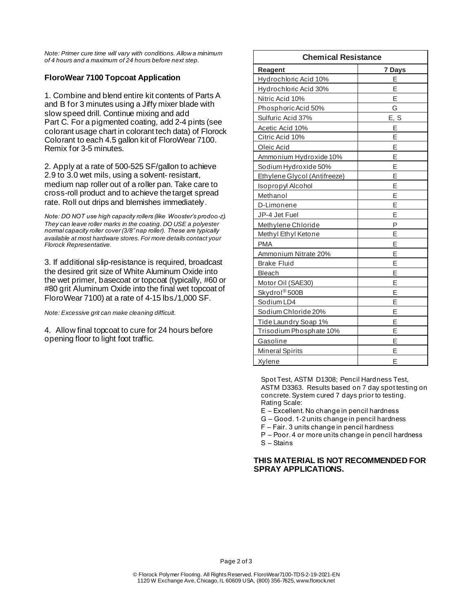*Note: Primer cure time will vary with conditions. Allow a minimum of 4 hours and a maximum of 24 hours before next step.*

#### **FloroWear 7100 Topcoat Application**

1. Combine and blend entire kit contents of Parts A and B for 3 minutes using a Jiffy mixer blade with slow speed drill. Continue mixing and add Part C. For a pigmented coating, add 2-4 pints (see colorant usage chart in colorant tech data) of Florock Colorant to each 4.5 gallon kit of FloroWear 7100. Remix for 3-5 minutes.

2. Apply at a rate of 500-525 SF/gallon to achieve 2.9 to 3.0 wet mils, using a solvent- resistant, medium nap roller out of a roller pan. Take care to cross-roll product and to achieve the target spread rate. Roll out drips and blemishes immediately.

*Note: DO NOT use high capacity rollers (like Wooster's prodoo-z). They can leave roller marks in the coating. DO USE a polyester normal capacity roller cover (3/8" nap roller). These are typically available at most hardware stores. For more details contact your Florock Representative.*

3. If additional slip-resistance is required, broadcast the desired grit size of White Aluminum Oxide into the wet primer, basecoat or topcoat (typically, #60 or #80 grit Aluminum Oxide into the final wet topcoat of FloroWear 7100) at a rate of 4-15 lbs./1,000 SF.

*Note: Excessive grit can make cleaning difficult.*

4. Allow final topcoat to cure for 24 hours before opening floor to light foot traffic.

| <b>Chemical Resistance</b>   |        |  |
|------------------------------|--------|--|
| <b>Reagent</b>               | 7 Days |  |
| Hydrochloric Acid 10%        | E      |  |
| Hydrochloric Acid 30%        | F      |  |
| Nitric Acid 10%              | E      |  |
| Phosphoric Acid 50%          | G      |  |
| Sulfuric Acid 37%            | E, S   |  |
| Acetic Acid 10%              | Ε      |  |
| Citric Acid 10%              | E      |  |
| Oleic Acid                   | E      |  |
| Ammonium Hydroxide 10%       | E      |  |
| Sodium Hydroxide 50%         | E      |  |
| Ethylene Glycol (Antifreeze) | E      |  |
| Isopropyl Alcohol            | E      |  |
| Methanol                     | Ε      |  |
| D-Limonene                   | E      |  |
| JP-4 Jet Fuel                | E      |  |
| Methylene Chloride           | P      |  |
| Methyl Ethyl Ketone          | E      |  |
| <b>PMA</b>                   | E      |  |
| Ammonium Nitrate 20%         | Ε      |  |
| <b>Brake Fluid</b>           | E      |  |
| Bleach                       | E      |  |
| Motor Oil (SAE30)            | E      |  |
| Skydrol®500B                 | E      |  |
| Sodium LD4                   | E      |  |
| Sodium Chloride 20%          | E      |  |
| Tide Laundry Soap 1%         | Ε      |  |
| Trisodium Phosphate 10%      | E      |  |
| Gasoline                     | E      |  |
| Mineral Spirits              | E      |  |
| Xylene                       | E      |  |

Spot Test, ASTM D1308; Pencil Hardness Test, ASTM D3363. Results based on 7 day spot testing on concrete. System cured 7 days prior to testing. Rating Scale:

E – Excellent. No change in pencil hardness

G – Good. 1-2 units change in pencil hardness

 $F - Fair.$  3 units change in pencil hardness

P – Poor. 4 or more units change in pencil hardness S - Stains

#### **THIS MATERIAL IS NOT RECOMMENDED FOR SPRAY APPLICATIONS.**